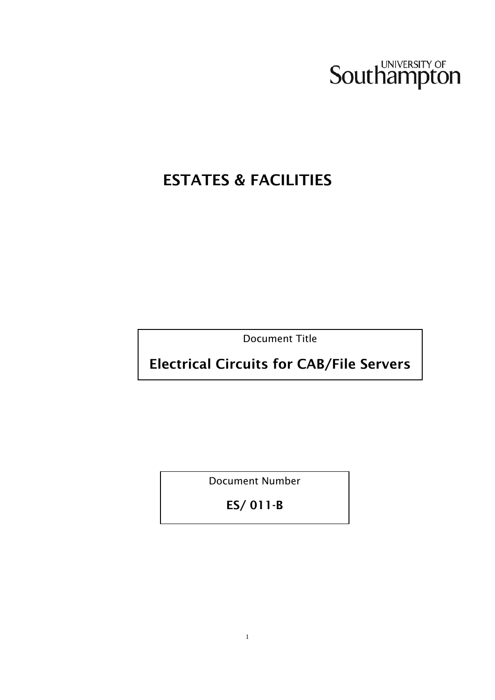

# ESTATES & FACILITIES

Document Title

Electrical Circuits for CAB/File Servers

Document Number

ES/ 011-B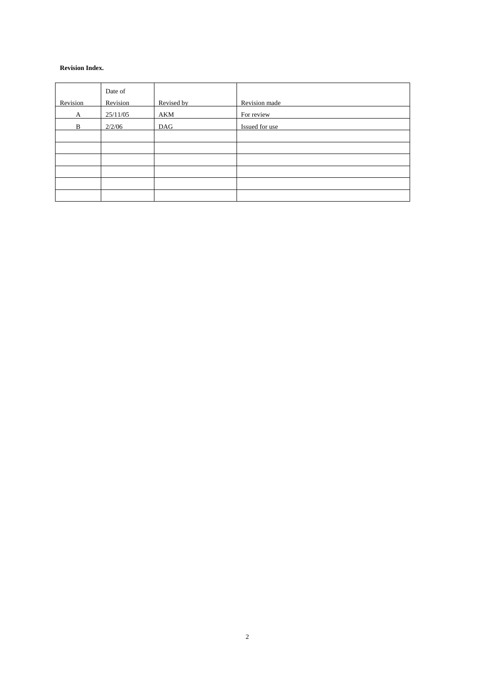#### **Revision Index.**

|          | Date of  |            |                |
|----------|----------|------------|----------------|
| Revision | Revision | Revised by | Revision made  |
| A        | 25/11/05 | AKM        | For review     |
| B        | 2/2/06   | DAG        | Issued for use |
|          |          |            |                |
|          |          |            |                |
|          |          |            |                |
|          |          |            |                |
|          |          |            |                |
|          |          |            |                |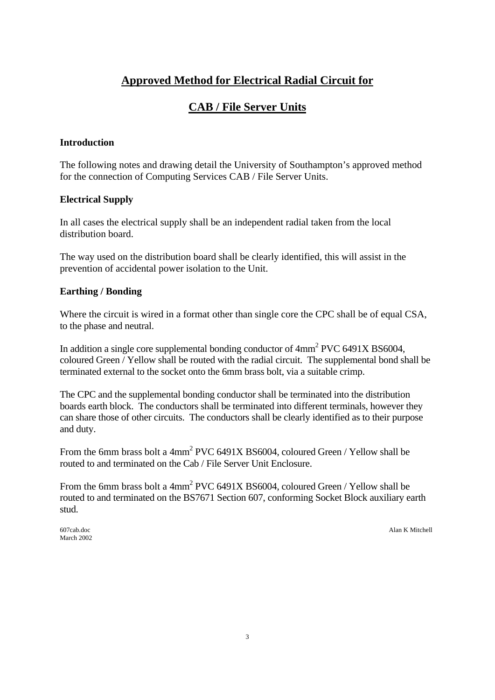## **Approved Method for Electrical Radial Circuit for**

## **CAB / File Server Units**

#### **Introduction**

The following notes and drawing detail the University of Southampton's approved method for the connection of Computing Services CAB / File Server Units.

#### **Electrical Supply**

In all cases the electrical supply shall be an independent radial taken from the local distribution board.

The way used on the distribution board shall be clearly identified, this will assist in the prevention of accidental power isolation to the Unit.

#### **Earthing / Bonding**

Where the circuit is wired in a format other than single core the CPC shall be of equal CSA, to the phase and neutral.

In addition a single core supplemental bonding conductor of  $4mm^2$  PVC 6491X BS6004, coloured Green / Yellow shall be routed with the radial circuit. The supplemental bond shall be terminated external to the socket onto the 6mm brass bolt, via a suitable crimp.

The CPC and the supplemental bonding conductor shall be terminated into the distribution boards earth block. The conductors shall be terminated into different terminals, however they can share those of other circuits. The conductors shall be clearly identified as to their purpose and duty.

From the 6mm brass bolt a  $4mm^2$  PVC 6491X BS6004, coloured Green / Yellow shall be routed to and terminated on the Cab / File Server Unit Enclosure.

From the 6mm brass bolt a  $4mm^2$  PVC 6491X BS6004, coloured Green / Yellow shall be routed to and terminated on the BS7671 Section 607, conforming Socket Block auxiliary earth stud.

March 2002

607cab.doc Alan K Mitchell